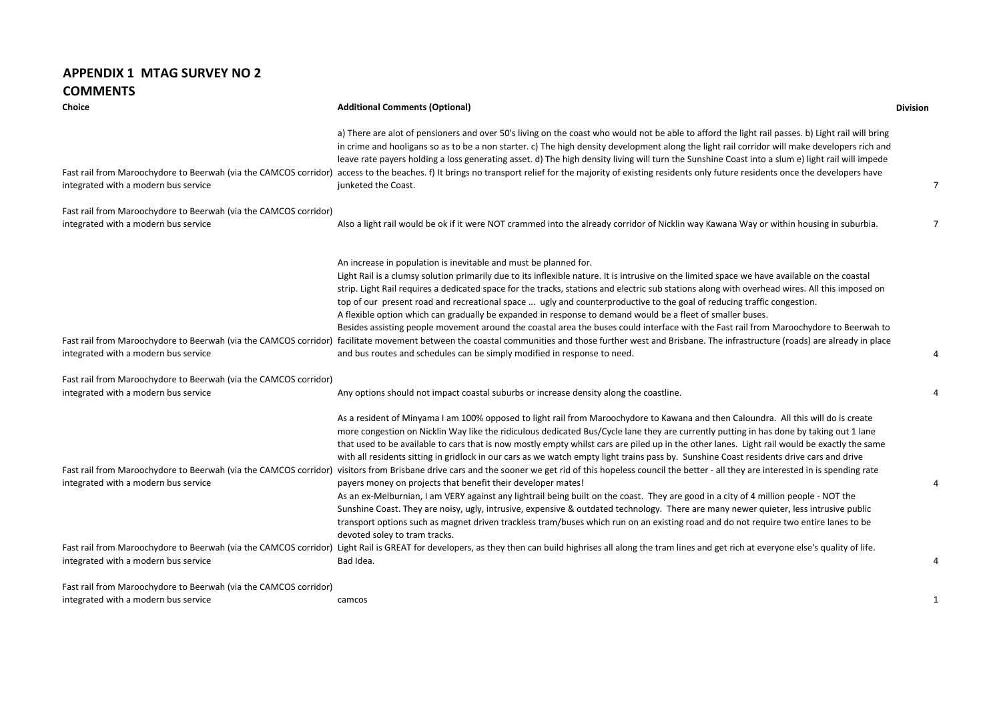## **APPENDIX 1 MTAG SURVEY NO 2 COMMENTS**

| Choice                                                                                                   | <b>Additional Comments (Optional)</b>                                                                                                                                                                                                                                                                                                                                                                                                                                                                                                                                                                                                                                                                                                                                                                                                                                                                                                                                                                                                                                                                                                                                                                                                                                                                                                                                                                                                                                                                                                                  | <b>Division</b> |
|----------------------------------------------------------------------------------------------------------|--------------------------------------------------------------------------------------------------------------------------------------------------------------------------------------------------------------------------------------------------------------------------------------------------------------------------------------------------------------------------------------------------------------------------------------------------------------------------------------------------------------------------------------------------------------------------------------------------------------------------------------------------------------------------------------------------------------------------------------------------------------------------------------------------------------------------------------------------------------------------------------------------------------------------------------------------------------------------------------------------------------------------------------------------------------------------------------------------------------------------------------------------------------------------------------------------------------------------------------------------------------------------------------------------------------------------------------------------------------------------------------------------------------------------------------------------------------------------------------------------------------------------------------------------------|-----------------|
| Fast rail from Maroochydore to Beerwah (via the CAMCOS corridor)<br>integrated with a modern bus service | a) There are alot of pensioners and over 50's living on the coast who would not be able to afford the light rail passes. b) Light rail will bring<br>in crime and hooligans so as to be a non starter. c) The high density development along the light rail corridor will make developers rich and<br>leave rate payers holding a loss generating asset. d) The high density living will turn the Sunshine Coast into a slum e) light rail will impede<br>access to the beaches. f) It brings no transport relief for the majority of existing residents only future residents once the developers have<br>junketed the Coast.                                                                                                                                                                                                                                                                                                                                                                                                                                                                                                                                                                                                                                                                                                                                                                                                                                                                                                                         | $\overline{7}$  |
| Fast rail from Maroochydore to Beerwah (via the CAMCOS corridor)<br>integrated with a modern bus service | Also a light rail would be ok if it were NOT crammed into the already corridor of Nicklin way Kawana Way or within housing in suburbia.                                                                                                                                                                                                                                                                                                                                                                                                                                                                                                                                                                                                                                                                                                                                                                                                                                                                                                                                                                                                                                                                                                                                                                                                                                                                                                                                                                                                                | 7               |
| Fast rail from Maroochydore to Beerwah (via the CAMCOS corridor)<br>integrated with a modern bus service | An increase in population is inevitable and must be planned for.<br>Light Rail is a clumsy solution primarily due to its inflexible nature. It is intrusive on the limited space we have available on the coastal<br>strip. Light Rail requires a dedicated space for the tracks, stations and electric sub stations along with overhead wires. All this imposed on<br>top of our present road and recreational space  ugly and counterproductive to the goal of reducing traffic congestion.<br>A flexible option which can gradually be expanded in response to demand would be a fleet of smaller buses.<br>Besides assisting people movement around the coastal area the buses could interface with the Fast rail from Maroochydore to Beerwah to<br>facilitate movement between the coastal communities and those further west and Brisbane. The infrastructure (roads) are already in place<br>and bus routes and schedules can be simply modified in response to need.                                                                                                                                                                                                                                                                                                                                                                                                                                                                                                                                                                          | $\overline{4}$  |
| Fast rail from Maroochydore to Beerwah (via the CAMCOS corridor)                                         |                                                                                                                                                                                                                                                                                                                                                                                                                                                                                                                                                                                                                                                                                                                                                                                                                                                                                                                                                                                                                                                                                                                                                                                                                                                                                                                                                                                                                                                                                                                                                        |                 |
| integrated with a modern bus service                                                                     | Any options should not impact coastal suburbs or increase density along the coastline.                                                                                                                                                                                                                                                                                                                                                                                                                                                                                                                                                                                                                                                                                                                                                                                                                                                                                                                                                                                                                                                                                                                                                                                                                                                                                                                                                                                                                                                                 | 4               |
| integrated with a modern bus service<br>integrated with a modern bus service                             | As a resident of Minyama I am 100% opposed to light rail from Maroochydore to Kawana and then Caloundra. All this will do is create<br>more congestion on Nicklin Way like the ridiculous dedicated Bus/Cycle lane they are currently putting in has done by taking out 1 lane<br>that used to be available to cars that is now mostly empty whilst cars are piled up in the other lanes. Light rail would be exactly the same<br>with all residents sitting in gridlock in our cars as we watch empty light trains pass by. Sunshine Coast residents drive cars and drive<br>Fast rail from Maroochydore to Beerwah (via the CAMCOS corridor) visitors from Brisbane drive cars and the sooner we get rid of this hopeless council the better - all they are interested in is spending rate<br>payers money on projects that benefit their developer mates!<br>As an ex-Melburnian, I am VERY against any lightrail being built on the coast. They are good in a city of 4 million people - NOT the<br>Sunshine Coast. They are noisy, ugly, intrusive, expensive & outdated technology. There are many newer quieter, less intrusive public<br>transport options such as magnet driven trackless tram/buses which run on an existing road and do not require two entire lanes to be<br>devoted soley to tram tracks.<br>Fast rail from Maroochydore to Beerwah (via the CAMCOS corridor) Light Rail is GREAT for developers, as they then can build highrises all along the tram lines and get rich at everyone else's quality of life.<br>Bad Idea. | 4<br>4          |
| Fast rail from Maroochydore to Beerwah (via the CAMCOS corridor)                                         |                                                                                                                                                                                                                                                                                                                                                                                                                                                                                                                                                                                                                                                                                                                                                                                                                                                                                                                                                                                                                                                                                                                                                                                                                                                                                                                                                                                                                                                                                                                                                        |                 |
| integrated with a modern bus service                                                                     | camcos                                                                                                                                                                                                                                                                                                                                                                                                                                                                                                                                                                                                                                                                                                                                                                                                                                                                                                                                                                                                                                                                                                                                                                                                                                                                                                                                                                                                                                                                                                                                                 | 1               |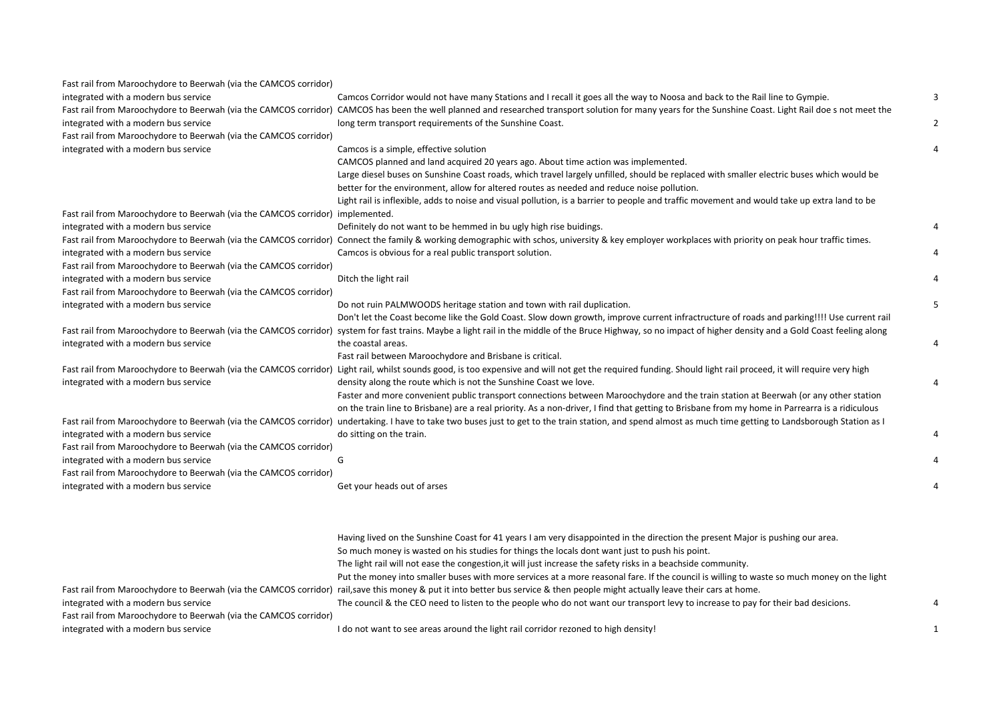| Fast rail from Maroochydore to Beerwah (via the CAMCOS corridor)              |                                                                                                                                                                                                               |              |
|-------------------------------------------------------------------------------|---------------------------------------------------------------------------------------------------------------------------------------------------------------------------------------------------------------|--------------|
| integrated with a modern bus service                                          | Camcos Corridor would not have many Stations and I recall it goes all the way to Noosa and back to the Rail line to Gympie.                                                                                   | 3            |
|                                                                               | Fast rail from Maroochydore to Beerwah (via the CAMCOS corridor) CAMCOS has been the well planned and researched transport solution for many years for the Sunshine Coast. Light Rail doe s not meet the      |              |
| integrated with a modern bus service                                          | long term transport requirements of the Sunshine Coast.                                                                                                                                                       | 2            |
| Fast rail from Maroochydore to Beerwah (via the CAMCOS corridor)              |                                                                                                                                                                                                               |              |
| integrated with a modern bus service                                          | Camcos is a simple, effective solution                                                                                                                                                                        |              |
|                                                                               | CAMCOS planned and land acquired 20 years ago. About time action was implemented.                                                                                                                             |              |
|                                                                               | Large diesel buses on Sunshine Coast roads, which travel largely unfilled, should be replaced with smaller electric buses which would be                                                                      |              |
|                                                                               | better for the environment, allow for altered routes as needed and reduce noise pollution.                                                                                                                    |              |
|                                                                               | Light rail is inflexible, adds to noise and visual pollution, is a barrier to people and traffic movement and would take up extra land to be                                                                  |              |
| Fast rail from Maroochydore to Beerwah (via the CAMCOS corridor) implemented. |                                                                                                                                                                                                               |              |
| integrated with a modern bus service                                          | Definitely do not want to be hemmed in bu ugly high rise buidings.                                                                                                                                            |              |
|                                                                               | Fast rail from Maroochydore to Beerwah (via the CAMCOS corridor) Connect the family & working demographic with schos, university & key employer workplaces with priority on peak hour traffic times.          |              |
| integrated with a modern bus service                                          | Camcos is obvious for a real public transport solution.                                                                                                                                                       |              |
| Fast rail from Maroochydore to Beerwah (via the CAMCOS corridor)              |                                                                                                                                                                                                               |              |
| integrated with a modern bus service                                          | Ditch the light rail                                                                                                                                                                                          |              |
| Fast rail from Maroochydore to Beerwah (via the CAMCOS corridor)              |                                                                                                                                                                                                               |              |
| integrated with a modern bus service                                          | Do not ruin PALMWOODS heritage station and town with rail duplication.                                                                                                                                        | 5            |
|                                                                               | Don't let the Coast become like the Gold Coast. Slow down growth, improve current infractructure of roads and parking!!!! Use current rail                                                                    |              |
|                                                                               | Fast rail from Maroochydore to Beerwah (via the CAMCOS corridor) system for fast trains. Maybe a light rail in the middle of the Bruce Highway, so no impact of higher density and a Gold Coast feeling along |              |
| integrated with a modern bus service                                          | the coastal areas.                                                                                                                                                                                            | 4            |
|                                                                               | Fast rail between Maroochydore and Brisbane is critical.                                                                                                                                                      |              |
|                                                                               | Fast rail from Maroochydore to Beerwah (via the CAMCOS corridor) Light rail, whilst sounds good, is too expensive and will not get the required funding. Should light rail proceed, it will require very high |              |
| integrated with a modern bus service                                          | density along the route which is not the Sunshine Coast we love.                                                                                                                                              |              |
|                                                                               | Faster and more convenient public transport connections between Maroochydore and the train station at Beerwah (or any other station                                                                           |              |
|                                                                               | on the train line to Brisbane) are a real priority. As a non-driver, I find that getting to Brisbane from my home in Parrearra is a ridiculous                                                                |              |
|                                                                               | Fast rail from Maroochydore to Beerwah (via the CAMCOS corridor) undertaking. I have to take two buses just to get to the train station, and spend almost as much time getting to Landsborough Station as I   |              |
| integrated with a modern bus service                                          | do sitting on the train.                                                                                                                                                                                      |              |
| Fast rail from Maroochydore to Beerwah (via the CAMCOS corridor)              |                                                                                                                                                                                                               |              |
| integrated with a modern bus service                                          | G                                                                                                                                                                                                             |              |
| Fast rail from Maroochydore to Beerwah (via the CAMCOS corridor)              |                                                                                                                                                                                                               |              |
| integrated with a modern bus service                                          | Get your heads out of arses                                                                                                                                                                                   |              |
|                                                                               |                                                                                                                                                                                                               |              |
|                                                                               |                                                                                                                                                                                                               |              |
|                                                                               | Having lived on the Sunshine Coast for 41 years I am very disappointed in the direction the present Major is pushing our area.                                                                                |              |
|                                                                               | So much money is wasted on his studies for things the locals dont want just to push his point.                                                                                                                |              |
|                                                                               | The light rail will not ease the congestion, it will just increase the safety risks in a beachside community.                                                                                                 |              |
|                                                                               | Put the money into smaller buses with more services at a more reasonal fare. If the council is willing to waste so much money on the light                                                                    |              |
|                                                                               | Fast rail from Maroochydore to Beerwah (via the CAMCOS corridor) rail,save this money & put it into better bus service & then people might actually leave their cars at home.                                 |              |
| integrated with a modern bus service                                          | The council & the CEO need to listen to the people who do not want our transport levy to increase to pay for their bad desicions.                                                                             | Δ            |
| Fast rail from Maroochydore to Beerwah (via the CAMCOS corridor)              |                                                                                                                                                                                                               |              |
| integrated with a modern bus service                                          | I do not want to see areas around the light rail corridor rezoned to high density!                                                                                                                            | $\mathbf{1}$ |
|                                                                               |                                                                                                                                                                                                               |              |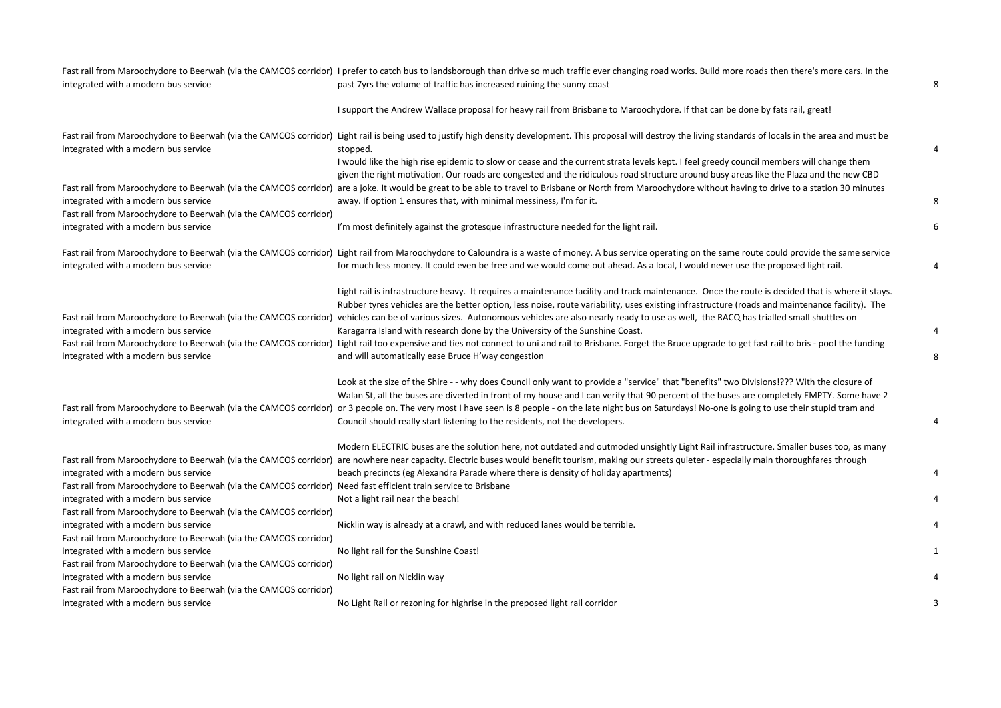|                                                                                                                | Fast rail from Maroochydore to Beerwah (via the CAMCOS corridor) I prefer to catch bus to landsborough than drive so much traffic ever changing road works. Build more roads then there's more cars. In the                                                                                       |   |
|----------------------------------------------------------------------------------------------------------------|---------------------------------------------------------------------------------------------------------------------------------------------------------------------------------------------------------------------------------------------------------------------------------------------------|---|
| integrated with a modern bus service                                                                           | past 7yrs the volume of traffic has increased ruining the sunny coast                                                                                                                                                                                                                             | 8 |
|                                                                                                                | I support the Andrew Wallace proposal for heavy rail from Brisbane to Maroochydore. If that can be done by fats rail, great!                                                                                                                                                                      |   |
| integrated with a modern bus service                                                                           | Fast rail from Maroochydore to Beerwah (via the CAMCOS corridor) Light rail is being used to justify high density development. This proposal will destroy the living standards of locals in the area and must be<br>stopped.                                                                      | 4 |
|                                                                                                                | I would like the high rise epidemic to slow or cease and the current strata levels kept. I feel greedy council members will change them<br>given the right motivation. Our roads are congested and the ridiculous road structure around busy areas like the Plaza and the new CBD                 |   |
|                                                                                                                | Fast rail from Maroochydore to Beerwah (via the CAMCOS corridor) are a joke. It would be great to be able to travel to Brisbane or North from Maroochydore without having to drive to a station 30 minutes                                                                                        |   |
| integrated with a modern bus service<br>Fast rail from Maroochydore to Beerwah (via the CAMCOS corridor)       | away. If option 1 ensures that, with minimal messiness, I'm for it.                                                                                                                                                                                                                               | 8 |
| integrated with a modern bus service                                                                           | I'm most definitely against the grotesque infrastructure needed for the light rail.                                                                                                                                                                                                               | 6 |
|                                                                                                                | Fast rail from Maroochydore to Beerwah (via the CAMCOS corridor) Light rail from Maroochydore to Caloundra is a waste of money. A bus service operating on the same route could provide the same service                                                                                          |   |
| integrated with a modern bus service                                                                           | for much less money. It could even be free and we would come out ahead. As a local, I would never use the proposed light rail.                                                                                                                                                                    | 4 |
|                                                                                                                | Light rail is infrastructure heavy. It requires a maintenance facility and track maintenance. Once the route is decided that is where it stays.<br>Rubber tyres vehicles are the better option, less noise, route variability, uses existing infrastructure (roads and maintenance facility). The |   |
| integrated with a modern bus service                                                                           | Fast rail from Maroochydore to Beerwah (via the CAMCOS corridor) vehicles can be of various sizes. Autonomous vehicles are also nearly ready to use as well, the RACQ has trialled small shuttles on<br>Karagarra Island with research done by the University of the Sunshine Coast.              | 4 |
| integrated with a modern bus service                                                                           | Fast rail from Maroochydore to Beerwah (via the CAMCOS corridor) Light rail too expensive and ties not connect to uni and rail to Brisbane. Forget the Bruce upgrade to get fast rail to bris - pool the funding<br>and will automatically ease Bruce H'way congestion                            | 8 |
|                                                                                                                | Look at the size of the Shire - - why does Council only want to provide a "service" that "benefits" two Divisions!??? With the closure of<br>Walan St, all the buses are diverted in front of my house and I can verify that 90 percent of the buses are completely EMPTY. Some have 2            |   |
| integrated with a modern bus service                                                                           | Fast rail from Maroochydore to Beerwah (via the CAMCOS corridor) or 3 people on. The very most I have seen is 8 people - on the late night bus on Saturdays! No-one is going to use their stupid tram and<br>Council should really start listening to the residents, not the developers.          | 4 |
|                                                                                                                | Modern ELECTRIC buses are the solution here, not outdated and outmoded unsightly Light Rail infrastructure. Smaller buses too, as many                                                                                                                                                            |   |
| integrated with a modern bus service                                                                           | Fast rail from Maroochydore to Beerwah (via the CAMCOS corridor) are nowhere near capacity. Electric buses would benefit tourism, making our streets quieter - especially main thoroughfares through<br>beach precincts (eg Alexandra Parade where there is density of holiday apartments)        | 4 |
| Fast rail from Maroochydore to Beerwah (via the CAMCOS corridor) Need fast efficient train service to Brisbane |                                                                                                                                                                                                                                                                                                   |   |
| integrated with a modern bus service                                                                           | Not a light rail near the beach!                                                                                                                                                                                                                                                                  |   |
| Fast rail from Maroochydore to Beerwah (via the CAMCOS corridor)                                               |                                                                                                                                                                                                                                                                                                   |   |
| integrated with a modern bus service                                                                           | Nicklin way is already at a crawl, and with reduced lanes would be terrible.                                                                                                                                                                                                                      |   |
| Fast rail from Maroochydore to Beerwah (via the CAMCOS corridor)                                               |                                                                                                                                                                                                                                                                                                   |   |
| integrated with a modern bus service                                                                           | No light rail for the Sunshine Coast!                                                                                                                                                                                                                                                             |   |
| Fast rail from Maroochydore to Beerwah (via the CAMCOS corridor)                                               |                                                                                                                                                                                                                                                                                                   |   |
| integrated with a modern bus service                                                                           | No light rail on Nicklin way                                                                                                                                                                                                                                                                      |   |
| Fast rail from Maroochydore to Beerwah (via the CAMCOS corridor)                                               |                                                                                                                                                                                                                                                                                                   |   |
| integrated with a modern bus service                                                                           | No Light Rail or rezoning for highrise in the preposed light rail corridor                                                                                                                                                                                                                        |   |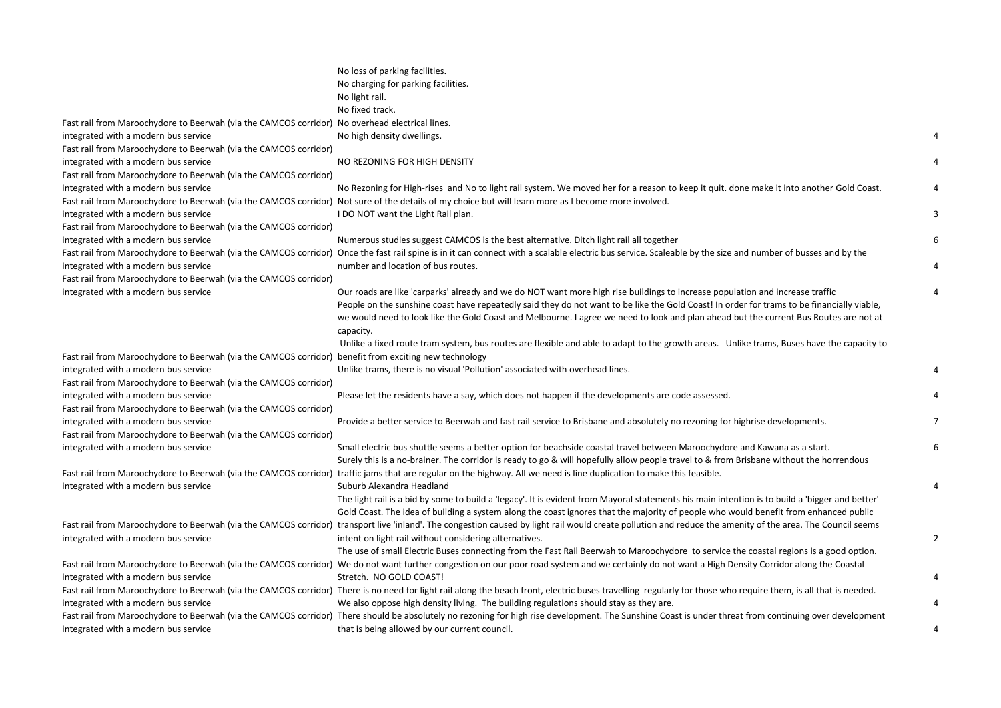|                                                                                                       | No loss of parking facilities.<br>No charging for parking facilities.<br>No light rail.                                                                                                                                                                                                                                                                                                                                                                                                                                                                                        |   |
|-------------------------------------------------------------------------------------------------------|--------------------------------------------------------------------------------------------------------------------------------------------------------------------------------------------------------------------------------------------------------------------------------------------------------------------------------------------------------------------------------------------------------------------------------------------------------------------------------------------------------------------------------------------------------------------------------|---|
|                                                                                                       | No fixed track.                                                                                                                                                                                                                                                                                                                                                                                                                                                                                                                                                                |   |
| Fast rail from Maroochydore to Beerwah (via the CAMCOS corridor) No overhead electrical lines.        |                                                                                                                                                                                                                                                                                                                                                                                                                                                                                                                                                                                |   |
| integrated with a modern bus service                                                                  | No high density dwellings.                                                                                                                                                                                                                                                                                                                                                                                                                                                                                                                                                     |   |
| Fast rail from Maroochydore to Beerwah (via the CAMCOS corridor)                                      |                                                                                                                                                                                                                                                                                                                                                                                                                                                                                                                                                                                |   |
| integrated with a modern bus service                                                                  | NO REZONING FOR HIGH DENSITY                                                                                                                                                                                                                                                                                                                                                                                                                                                                                                                                                   |   |
| Fast rail from Maroochydore to Beerwah (via the CAMCOS corridor)                                      |                                                                                                                                                                                                                                                                                                                                                                                                                                                                                                                                                                                |   |
| integrated with a modern bus service                                                                  | No Rezoning for High-rises and No to light rail system. We moved her for a reason to keep it quit. done make it into another Gold Coast.                                                                                                                                                                                                                                                                                                                                                                                                                                       |   |
|                                                                                                       | Fast rail from Maroochydore to Beerwah (via the CAMCOS corridor) Not sure of the details of my choice but will learn more as I become more involved.                                                                                                                                                                                                                                                                                                                                                                                                                           |   |
| integrated with a modern bus service                                                                  | I DO NOT want the Light Rail plan.                                                                                                                                                                                                                                                                                                                                                                                                                                                                                                                                             | 3 |
| Fast rail from Maroochydore to Beerwah (via the CAMCOS corridor)                                      |                                                                                                                                                                                                                                                                                                                                                                                                                                                                                                                                                                                |   |
| integrated with a modern bus service                                                                  | Numerous studies suggest CAMCOS is the best alternative. Ditch light rail all together                                                                                                                                                                                                                                                                                                                                                                                                                                                                                         | 6 |
|                                                                                                       | Fast rail from Maroochydore to Beerwah (via the CAMCOS corridor) Once the fast rail spine is in it can connect with a scalable electric bus service. Scaleable by the size and number of busses and by the                                                                                                                                                                                                                                                                                                                                                                     |   |
| integrated with a modern bus service                                                                  | number and location of bus routes.                                                                                                                                                                                                                                                                                                                                                                                                                                                                                                                                             | 4 |
| Fast rail from Maroochydore to Beerwah (via the CAMCOS corridor)                                      |                                                                                                                                                                                                                                                                                                                                                                                                                                                                                                                                                                                |   |
| integrated with a modern bus service                                                                  | Our roads are like 'carparks' already and we do NOT want more high rise buildings to increase population and increase traffic<br>People on the sunshine coast have repeatedly said they do not want to be like the Gold Coast! In order for trams to be financially viable,<br>we would need to look like the Gold Coast and Melbourne. I agree we need to look and plan ahead but the current Bus Routes are not at<br>capacity.<br>Unlike a fixed route tram system, bus routes are flexible and able to adapt to the growth areas. Unlike trams, Buses have the capacity to |   |
| Fast rail from Maroochydore to Beerwah (via the CAMCOS corridor) benefit from exciting new technology |                                                                                                                                                                                                                                                                                                                                                                                                                                                                                                                                                                                |   |
| integrated with a modern bus service                                                                  | Unlike trams, there is no visual 'Pollution' associated with overhead lines.                                                                                                                                                                                                                                                                                                                                                                                                                                                                                                   | 4 |
| Fast rail from Maroochydore to Beerwah (via the CAMCOS corridor)                                      |                                                                                                                                                                                                                                                                                                                                                                                                                                                                                                                                                                                |   |
| integrated with a modern bus service                                                                  | Please let the residents have a say, which does not happen if the developments are code assessed.                                                                                                                                                                                                                                                                                                                                                                                                                                                                              |   |
| Fast rail from Maroochydore to Beerwah (via the CAMCOS corridor)                                      |                                                                                                                                                                                                                                                                                                                                                                                                                                                                                                                                                                                |   |
| integrated with a modern bus service                                                                  | Provide a better service to Beerwah and fast rail service to Brisbane and absolutely no rezoning for highrise developments.                                                                                                                                                                                                                                                                                                                                                                                                                                                    |   |
| Fast rail from Maroochydore to Beerwah (via the CAMCOS corridor)                                      |                                                                                                                                                                                                                                                                                                                                                                                                                                                                                                                                                                                |   |
| integrated with a modern bus service                                                                  | Small electric bus shuttle seems a better option for beachside coastal travel between Maroochydore and Kawana as a start.<br>Surely this is a no-brainer. The corridor is ready to go & will hopefully allow people travel to & from Brisbane without the horrendous                                                                                                                                                                                                                                                                                                           | 6 |
|                                                                                                       | Fast rail from Maroochydore to Beerwah (via the CAMCOS corridor) traffic jams that are regular on the highway. All we need is line duplication to make this feasible.                                                                                                                                                                                                                                                                                                                                                                                                          |   |
| integrated with a modern bus service                                                                  | Suburb Alexandra Headland                                                                                                                                                                                                                                                                                                                                                                                                                                                                                                                                                      | 4 |
|                                                                                                       | The light rail is a bid by some to build a 'legacy'. It is evident from Mayoral statements his main intention is to build a 'bigger and better'<br>Gold Coast. The idea of building a system along the coast ignores that the majority of people who would benefit from enhanced public                                                                                                                                                                                                                                                                                        |   |
|                                                                                                       | Fast rail from Maroochydore to Beerwah (via the CAMCOS corridor) transport live 'inland'. The congestion caused by light rail would create pollution and reduce the amenity of the area. The Council seems                                                                                                                                                                                                                                                                                                                                                                     |   |
| integrated with a modern bus service                                                                  | intent on light rail without considering alternatives.                                                                                                                                                                                                                                                                                                                                                                                                                                                                                                                         | 2 |
|                                                                                                       | The use of small Electric Buses connecting from the Fast Rail Beerwah to Maroochydore to service the coastal regions is a good option.                                                                                                                                                                                                                                                                                                                                                                                                                                         |   |
|                                                                                                       | Fast rail from Maroochydore to Beerwah (via the CAMCOS corridor) We do not want further congestion on our poor road system and we certainly do not want a High Density Corridor along the Coastal                                                                                                                                                                                                                                                                                                                                                                              |   |
| integrated with a modern bus service                                                                  | Stretch. NO GOLD COAST!                                                                                                                                                                                                                                                                                                                                                                                                                                                                                                                                                        | 4 |
|                                                                                                       | Fast rail from Maroochydore to Beerwah (via the CAMCOS corridor) There is no need for light rail along the beach front, electric buses travelling regularly for those who require them, is all that is needed.                                                                                                                                                                                                                                                                                                                                                                 |   |
| integrated with a modern bus service                                                                  | We also oppose high density living. The building regulations should stay as they are.                                                                                                                                                                                                                                                                                                                                                                                                                                                                                          | 4 |
|                                                                                                       | Fast rail from Maroochydore to Beerwah (via the CAMCOS corridor) There should be absolutely no rezoning for high rise development. The Sunshine Coast is under threat from continuing over development                                                                                                                                                                                                                                                                                                                                                                         |   |
| integrated with a modern bus service                                                                  | that is being allowed by our current council.                                                                                                                                                                                                                                                                                                                                                                                                                                                                                                                                  | 4 |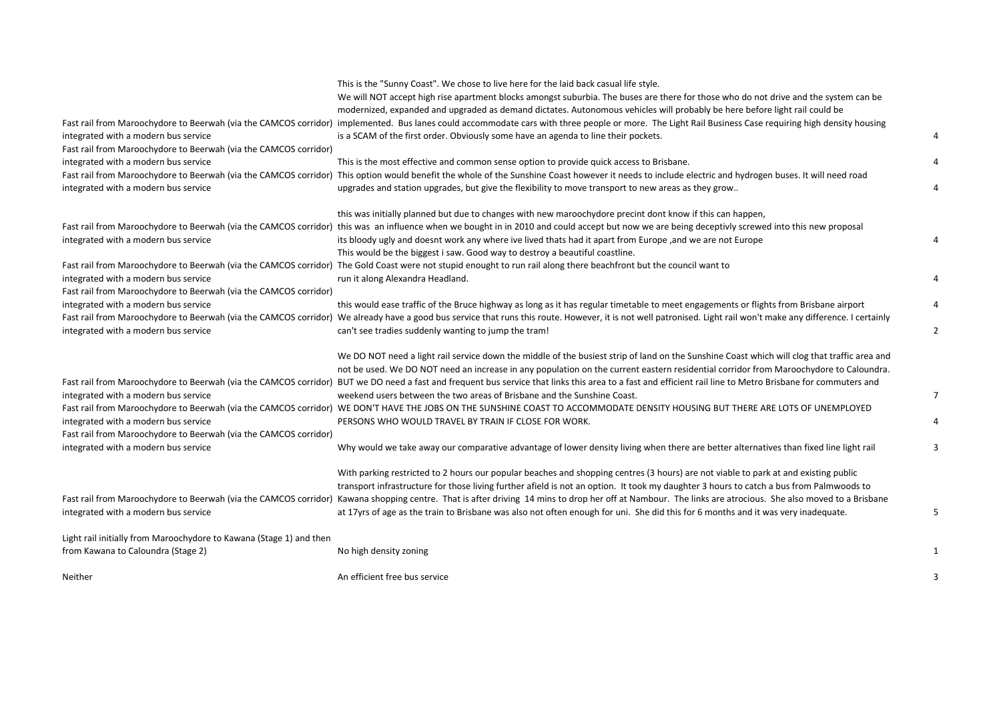| integrated with a modern bus service<br>Fast rail from Maroochydore to Beerwah (via the CAMCOS corridor)<br>integrated with a modern bus service<br>integrated with a modern bus service                             | This is the "Sunny Coast". We chose to live here for the laid back casual life style.<br>We will NOT accept high rise apartment blocks amongst suburbia. The buses are there for those who do not drive and the system can be<br>modernized, expanded and upgraded as demand dictates. Autonomous vehicles will probably be here before light rail could be<br>Fast rail from Maroochydore to Beerwah (via the CAMCOS corridor) implemented. Bus lanes could accommodate cars with three people or more. The Light Rail Business Case requiring high density housing<br>is a SCAM of the first order. Obviously some have an agenda to line their pockets.<br>This is the most effective and common sense option to provide quick access to Brisbane.<br>Fast rail from Maroochydore to Beerwah (via the CAMCOS corridor) This option would benefit the whole of the Sunshine Coast however it needs to include electric and hydrogen buses. It will need road<br>upgrades and station upgrades, but give the flexibility to move transport to new areas as they grow |  |
|----------------------------------------------------------------------------------------------------------------------------------------------------------------------------------------------------------------------|-----------------------------------------------------------------------------------------------------------------------------------------------------------------------------------------------------------------------------------------------------------------------------------------------------------------------------------------------------------------------------------------------------------------------------------------------------------------------------------------------------------------------------------------------------------------------------------------------------------------------------------------------------------------------------------------------------------------------------------------------------------------------------------------------------------------------------------------------------------------------------------------------------------------------------------------------------------------------------------------------------------------------------------------------------------------------|--|
| Fast rail from Maroochydore to Beerwah (via the CAMCOS corridor)<br>integrated with a modern bus service<br>integrated with a modern bus service<br>Fast rail from Maroochydore to Beerwah (via the CAMCOS corridor) | this was initially planned but due to changes with new maroochydore precint dont know if this can happen,<br>this was an influence when we bought in in 2010 and could accept but now we are being deceptivly screwed into this new proposal<br>its bloody ugly and doesnt work any where ive lived thats had it apart from Europe, and we are not Europe<br>This would be the biggest i saw. Good way to destroy a beautiful coastline.<br>Fast rail from Maroochydore to Beerwah (via the CAMCOS corridor) The Gold Coast were not stupid enought to run rail along there beachfront but the council want to<br>run it along Alexandra Headland.                                                                                                                                                                                                                                                                                                                                                                                                                    |  |
| integrated with a modern bus service<br>integrated with a modern bus service                                                                                                                                         | this would ease traffic of the Bruce highway as long as it has regular timetable to meet engagements or flights from Brisbane airport<br>Fast rail from Maroochydore to Beerwah (via the CAMCOS corridor) We already have a good bus service that runs this route. However, it is not well patronised. Light rail won't make any difference. I certainly<br>can't see tradies suddenly wanting to jump the tram!                                                                                                                                                                                                                                                                                                                                                                                                                                                                                                                                                                                                                                                      |  |
| integrated with a modern bus service<br>integrated with a modern bus service<br>Fast rail from Maroochydore to Beerwah (via the CAMCOS corridor)<br>integrated with a modern bus service                             | We DO NOT need a light rail service down the middle of the busiest strip of land on the Sunshine Coast which will clog that traffic area and<br>not be used. We DO NOT need an increase in any population on the current eastern residential corridor from Maroochydore to Caloundra.<br>Fast rail from Maroochydore to Beerwah (via the CAMCOS corridor) BUT we DO need a fast and frequent bus service that links this area to a fast and efficient rail line to Metro Brisbane for commuters and<br>weekend users between the two areas of Brisbane and the Sunshine Coast.<br>Fast rail from Maroochydore to Beerwah (via the CAMCOS corridor) WE DON'T HAVE THE JOBS ON THE SUNSHINE COAST TO ACCOMMODATE DENSITY HOUSING BUT THERE ARE LOTS OF UNEMPLOYED<br>PERSONS WHO WOULD TRAVEL BY TRAIN IF CLOSE FOR WORK.<br>Why would we take away our comparative advantage of lower density living when there are better alternatives than fixed line light rail                                                                                                     |  |
| integrated with a modern bus service                                                                                                                                                                                 | With parking restricted to 2 hours our popular beaches and shopping centres (3 hours) are not viable to park at and existing public<br>transport infrastructure for those living further afield is not an option. It took my daughter 3 hours to catch a bus from Palmwoods to<br>Fast rail from Maroochydore to Beerwah (via the CAMCOS corridor) Kawana shopping centre. That is after driving 14 mins to drop her off at Nambour. The links are atrocious. She also moved to a Brisbane<br>at 17yrs of age as the train to Brisbane was also not often enough for uni. She did this for 6 months and it was very inadequate.                                                                                                                                                                                                                                                                                                                                                                                                                                       |  |
| Light rail initially from Maroochydore to Kawana (Stage 1) and then<br>from Kawana to Caloundra (Stage 2)                                                                                                            | No high density zoning                                                                                                                                                                                                                                                                                                                                                                                                                                                                                                                                                                                                                                                                                                                                                                                                                                                                                                                                                                                                                                                |  |
| Neither                                                                                                                                                                                                              | An efficient free bus service                                                                                                                                                                                                                                                                                                                                                                                                                                                                                                                                                                                                                                                                                                                                                                                                                                                                                                                                                                                                                                         |  |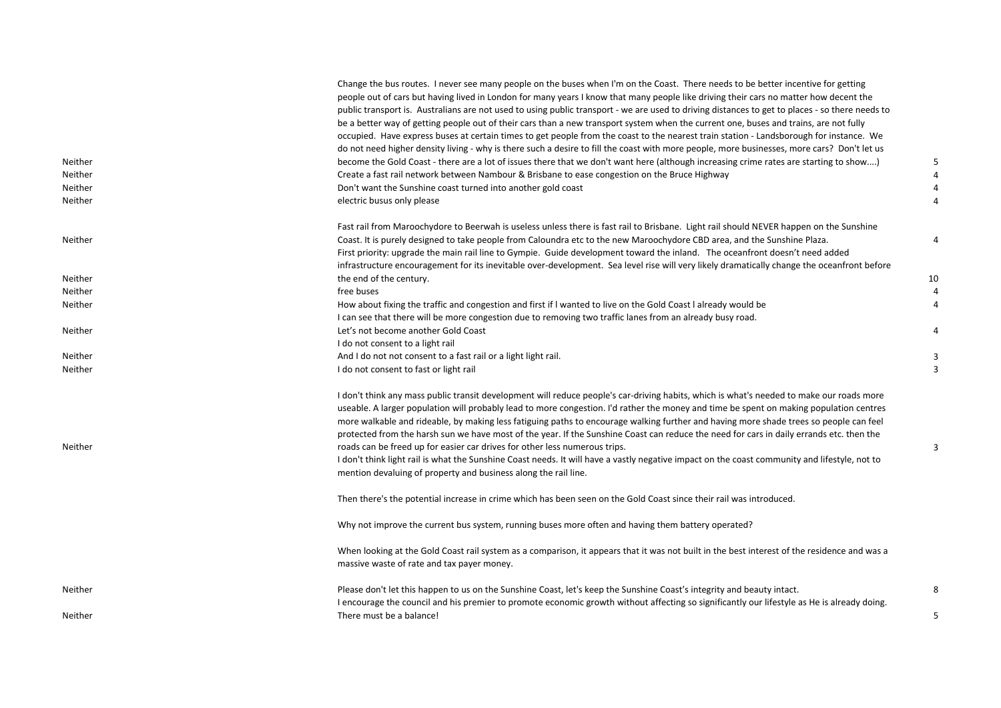|                | Change the bus routes. I never see many people on the buses when I'm on the Coast. There needs to be better incentive for getting<br>people out of cars but having lived in London for many years I know that many people like driving their cars no matter how decent the<br>public transport is. Australians are not used to using public transport - we are used to driving distances to get to places - so there needs to<br>be a better way of getting people out of their cars than a new transport system when the current one, buses and trains, are not fully<br>occupied. Have express buses at certain times to get people from the coast to the nearest train station - Landsborough for instance. We<br>do not need higher density living - why is there such a desire to fill the coast with more people, more businesses, more cars? Don't let us |                |
|----------------|------------------------------------------------------------------------------------------------------------------------------------------------------------------------------------------------------------------------------------------------------------------------------------------------------------------------------------------------------------------------------------------------------------------------------------------------------------------------------------------------------------------------------------------------------------------------------------------------------------------------------------------------------------------------------------------------------------------------------------------------------------------------------------------------------------------------------------------------------------------|----------------|
| Neither        | become the Gold Coast - there are a lot of issues there that we don't want here (although increasing crime rates are starting to show)                                                                                                                                                                                                                                                                                                                                                                                                                                                                                                                                                                                                                                                                                                                           |                |
| Neither        | Create a fast rail network between Nambour & Brisbane to ease congestion on the Bruce Highway                                                                                                                                                                                                                                                                                                                                                                                                                                                                                                                                                                                                                                                                                                                                                                    |                |
| Neither        | Don't want the Sunshine coast turned into another gold coast                                                                                                                                                                                                                                                                                                                                                                                                                                                                                                                                                                                                                                                                                                                                                                                                     |                |
| <b>Neither</b> | electric busus only please                                                                                                                                                                                                                                                                                                                                                                                                                                                                                                                                                                                                                                                                                                                                                                                                                                       | $\overline{4}$ |
|                | Fast rail from Maroochydore to Beerwah is useless unless there is fast rail to Brisbane. Light rail should NEVER happen on the Sunshine                                                                                                                                                                                                                                                                                                                                                                                                                                                                                                                                                                                                                                                                                                                          |                |
| <b>Neither</b> | Coast. It is purely designed to take people from Caloundra etc to the new Maroochydore CBD area, and the Sunshine Plaza.                                                                                                                                                                                                                                                                                                                                                                                                                                                                                                                                                                                                                                                                                                                                         | 4              |
|                | First priority: upgrade the main rail line to Gympie. Guide development toward the inland. The oceanfront doesn't need added                                                                                                                                                                                                                                                                                                                                                                                                                                                                                                                                                                                                                                                                                                                                     |                |
|                | infrastructure encouragement for its inevitable over-development. Sea level rise will very likely dramatically change the oceanfront before                                                                                                                                                                                                                                                                                                                                                                                                                                                                                                                                                                                                                                                                                                                      |                |
| Neither        | the end of the century.                                                                                                                                                                                                                                                                                                                                                                                                                                                                                                                                                                                                                                                                                                                                                                                                                                          | 10             |
| Neither        | free buses                                                                                                                                                                                                                                                                                                                                                                                                                                                                                                                                                                                                                                                                                                                                                                                                                                                       |                |
| Neither        | How about fixing the traffic and congestion and first if I wanted to live on the Gold Coast I already would be                                                                                                                                                                                                                                                                                                                                                                                                                                                                                                                                                                                                                                                                                                                                                   |                |
|                | I can see that there will be more congestion due to removing two traffic lanes from an already busy road.                                                                                                                                                                                                                                                                                                                                                                                                                                                                                                                                                                                                                                                                                                                                                        |                |
| Neither        | Let's not become another Gold Coast                                                                                                                                                                                                                                                                                                                                                                                                                                                                                                                                                                                                                                                                                                                                                                                                                              |                |
|                | I do not consent to a light rail                                                                                                                                                                                                                                                                                                                                                                                                                                                                                                                                                                                                                                                                                                                                                                                                                                 |                |
| Neither        | And I do not not consent to a fast rail or a light light rail.                                                                                                                                                                                                                                                                                                                                                                                                                                                                                                                                                                                                                                                                                                                                                                                                   |                |
| Neither        | I do not consent to fast or light rail                                                                                                                                                                                                                                                                                                                                                                                                                                                                                                                                                                                                                                                                                                                                                                                                                           | 3              |
| Neither        | I don't think any mass public transit development will reduce people's car-driving habits, which is what's needed to make our roads more<br>useable. A larger population will probably lead to more congestion. I'd rather the money and time be spent on making population centres<br>more walkable and rideable, by making less fatiguing paths to encourage walking further and having more shade trees so people can feel<br>protected from the harsh sun we have most of the year. If the Sunshine Coast can reduce the need for cars in daily errands etc. then the                                                                                                                                                                                                                                                                                        | 3              |
|                | roads can be freed up for easier car drives for other less numerous trips.<br>I don't think light rail is what the Sunshine Coast needs. It will have a vastly negative impact on the coast community and lifestyle, not to<br>mention devaluing of property and business along the rail line.                                                                                                                                                                                                                                                                                                                                                                                                                                                                                                                                                                   |                |
|                | Then there's the potential increase in crime which has been seen on the Gold Coast since their rail was introduced.                                                                                                                                                                                                                                                                                                                                                                                                                                                                                                                                                                                                                                                                                                                                              |                |
|                | Why not improve the current bus system, running buses more often and having them battery operated?                                                                                                                                                                                                                                                                                                                                                                                                                                                                                                                                                                                                                                                                                                                                                               |                |
|                | When looking at the Gold Coast rail system as a comparison, it appears that it was not built in the best interest of the residence and was a<br>massive waste of rate and tax payer money.                                                                                                                                                                                                                                                                                                                                                                                                                                                                                                                                                                                                                                                                       |                |
| Neither        | Please don't let this happen to us on the Sunshine Coast, let's keep the Sunshine Coast's integrity and beauty intact.                                                                                                                                                                                                                                                                                                                                                                                                                                                                                                                                                                                                                                                                                                                                           | 8              |
| Neither        | I encourage the council and his premier to promote economic growth without affecting so significantly our lifestyle as He is already doing.<br>There must be a balance!                                                                                                                                                                                                                                                                                                                                                                                                                                                                                                                                                                                                                                                                                          | 5              |
|                |                                                                                                                                                                                                                                                                                                                                                                                                                                                                                                                                                                                                                                                                                                                                                                                                                                                                  |                |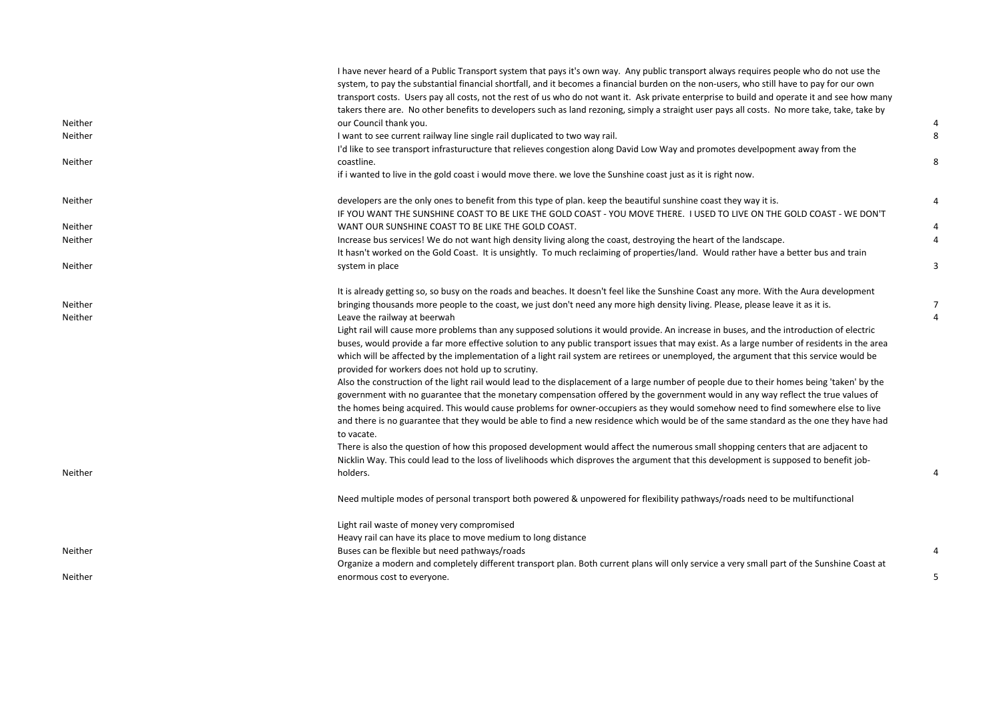|         | I have never heard of a Public Transport system that pays it's own way. Any public transport always requires people who do not use the<br>system, to pay the substantial financial shortfall, and it becomes a financial burden on the non-users, who still have to pay for our own         |                |
|---------|---------------------------------------------------------------------------------------------------------------------------------------------------------------------------------------------------------------------------------------------------------------------------------------------|----------------|
|         | transport costs. Users pay all costs, not the rest of us who do not want it. Ask private enterprise to build and operate it and see how many<br>takers there are. No other benefits to developers such as land rezoning, simply a straight user pays all costs. No more take, take, take by |                |
| Neither | our Council thank you.                                                                                                                                                                                                                                                                      | $\overline{4}$ |
| Neither | I want to see current railway line single rail duplicated to two way rail.                                                                                                                                                                                                                  | 8              |
|         | I'd like to see transport infrasturucture that relieves congestion along David Low Way and promotes develpopment away from the                                                                                                                                                              |                |
| Neither | coastline.                                                                                                                                                                                                                                                                                  | 8              |
|         | if i wanted to live in the gold coast i would move there. we love the Sunshine coast just as it is right now.                                                                                                                                                                               |                |
| Neither | developers are the only ones to benefit from this type of plan. keep the beautiful sunshine coast they way it is.                                                                                                                                                                           | 4              |
|         | IF YOU WANT THE SUNSHINE COAST TO BE LIKE THE GOLD COAST - YOU MOVE THERE. I USED TO LIVE ON THE GOLD COAST - WE DON'T                                                                                                                                                                      |                |
| Neither | WANT OUR SUNSHINE COAST TO BE LIKE THE GOLD COAST.                                                                                                                                                                                                                                          | 4              |
| Neither | Increase bus services! We do not want high density living along the coast, destroying the heart of the landscape.                                                                                                                                                                           | 4              |
|         | It hasn't worked on the Gold Coast. It is unsightly. To much reclaiming of properties/land. Would rather have a better bus and train                                                                                                                                                        |                |
| Neither | system in place                                                                                                                                                                                                                                                                             | 3              |
|         | It is already getting so, so busy on the roads and beaches. It doesn't feel like the Sunshine Coast any more. With the Aura development                                                                                                                                                     |                |
| Neither | bringing thousands more people to the coast, we just don't need any more high density living. Please, please leave it as it is.                                                                                                                                                             | 7              |
| Neither | Leave the railway at beerwah                                                                                                                                                                                                                                                                | 4              |
|         | Light rail will cause more problems than any supposed solutions it would provide. An increase in buses, and the introduction of electric                                                                                                                                                    |                |
|         | buses, would provide a far more effective solution to any public transport issues that may exist. As a large number of residents in the area                                                                                                                                                |                |
|         | which will be affected by the implementation of a light rail system are retirees or unemployed, the argument that this service would be                                                                                                                                                     |                |
|         | provided for workers does not hold up to scrutiny.                                                                                                                                                                                                                                          |                |
|         | Also the construction of the light rail would lead to the displacement of a large number of people due to their homes being 'taken' by the<br>government with no guarantee that the monetary compensation offered by the government would in any way reflect the true values of             |                |
|         | the homes being acquired. This would cause problems for owner-occupiers as they would somehow need to find somewhere else to live                                                                                                                                                           |                |
|         | and there is no guarantee that they would be able to find a new residence which would be of the same standard as the one they have had                                                                                                                                                      |                |
|         | to vacate.                                                                                                                                                                                                                                                                                  |                |
|         | There is also the question of how this proposed development would affect the numerous small shopping centers that are adjacent to                                                                                                                                                           |                |
|         | Nicklin Way. This could lead to the loss of livelihoods which disproves the argument that this development is supposed to benefit job-                                                                                                                                                      |                |
| Neither | holders.                                                                                                                                                                                                                                                                                    |                |
|         | Need multiple modes of personal transport both powered & unpowered for flexibility pathways/roads need to be multifunctional                                                                                                                                                                |                |
|         | Light rail waste of money very compromised                                                                                                                                                                                                                                                  |                |
|         | Heavy rail can have its place to move medium to long distance                                                                                                                                                                                                                               |                |
| Neither | Buses can be flexible but need pathways/roads                                                                                                                                                                                                                                               | 4              |
|         | Organize a modern and completely different transport plan. Both current plans will only service a very small part of the Sunshine Coast at                                                                                                                                                  |                |
| Neither | enormous cost to everyone.                                                                                                                                                                                                                                                                  | 5              |
|         |                                                                                                                                                                                                                                                                                             |                |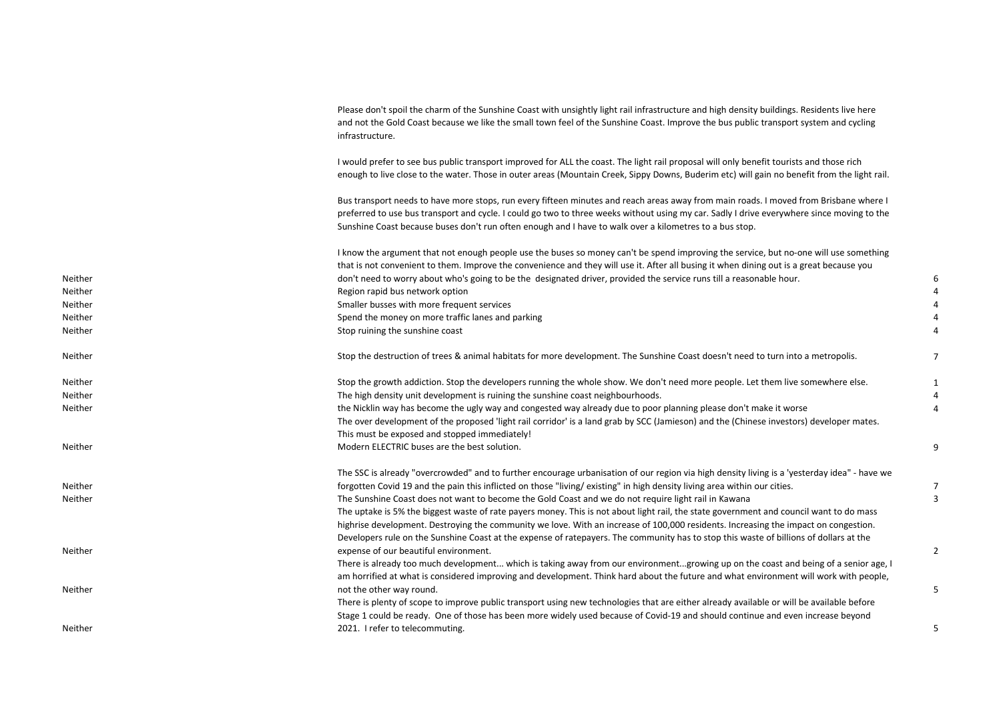|         | Please don't spoil the charm of the Sunshine Coast with unsightly light rail infrastructure and high density buildings. Residents live here<br>and not the Gold Coast because we like the small town feel of the Sunshine Coast. Improve the bus public transport system and cycling<br>infrastructure.                                                                                        |   |
|---------|------------------------------------------------------------------------------------------------------------------------------------------------------------------------------------------------------------------------------------------------------------------------------------------------------------------------------------------------------------------------------------------------|---|
|         | I would prefer to see bus public transport improved for ALL the coast. The light rail proposal will only benefit tourists and those rich<br>enough to live close to the water. Those in outer areas (Mountain Creek, Sippy Downs, Buderim etc) will gain no benefit from the light rail.                                                                                                       |   |
|         | Bus transport needs to have more stops, run every fifteen minutes and reach areas away from main roads. I moved from Brisbane where I<br>preferred to use bus transport and cycle. I could go two to three weeks without using my car. Sadly I drive everywhere since moving to the<br>Sunshine Coast because buses don't run often enough and I have to walk over a kilometres to a bus stop. |   |
|         | I know the argument that not enough people use the buses so money can't be spend improving the service, but no-one will use something                                                                                                                                                                                                                                                          |   |
| Neither | that is not convenient to them. Improve the convenience and they will use it. After all busing it when dining out is a great because you<br>don't need to worry about who's going to be the designated driver, provided the service runs till a reasonable hour.                                                                                                                               |   |
| Neither | Region rapid bus network option                                                                                                                                                                                                                                                                                                                                                                |   |
| Neither | Smaller busses with more frequent services                                                                                                                                                                                                                                                                                                                                                     |   |
| Neither | Spend the money on more traffic lanes and parking                                                                                                                                                                                                                                                                                                                                              |   |
| Neither | Stop ruining the sunshine coast                                                                                                                                                                                                                                                                                                                                                                |   |
| Neither | Stop the destruction of trees & animal habitats for more development. The Sunshine Coast doesn't need to turn into a metropolis.                                                                                                                                                                                                                                                               | 7 |
| Neither | Stop the growth addiction. Stop the developers running the whole show. We don't need more people. Let them live somewhere else.                                                                                                                                                                                                                                                                |   |
| Neither | The high density unit development is ruining the sunshine coast neighbourhoods.                                                                                                                                                                                                                                                                                                                |   |
| Neither | the Nicklin way has become the ugly way and congested way already due to poor planning please don't make it worse                                                                                                                                                                                                                                                                              |   |
|         | The over development of the proposed 'light rail corridor' is a land grab by SCC (Jamieson) and the (Chinese investors) developer mates.                                                                                                                                                                                                                                                       |   |
|         | This must be exposed and stopped immediately!                                                                                                                                                                                                                                                                                                                                                  |   |
| Neither | Modern ELECTRIC buses are the best solution.                                                                                                                                                                                                                                                                                                                                                   | 9 |
|         | The SSC is already "overcrowded" and to further encourage urbanisation of our region via high density living is a 'yesterday idea" - have we                                                                                                                                                                                                                                                   |   |
| Neither | forgotten Covid 19 and the pain this inflicted on those "living/existing" in high density living area within our cities.                                                                                                                                                                                                                                                                       | 7 |
| Neither | The Sunshine Coast does not want to become the Gold Coast and we do not require light rail in Kawana                                                                                                                                                                                                                                                                                           | 3 |
|         | The uptake is 5% the biggest waste of rate payers money. This is not about light rail, the state government and council want to do mass                                                                                                                                                                                                                                                        |   |
|         | highrise development. Destroying the community we love. With an increase of 100,000 residents. Increasing the impact on congestion.                                                                                                                                                                                                                                                            |   |
|         | Developers rule on the Sunshine Coast at the expense of ratepayers. The community has to stop this waste of billions of dollars at the                                                                                                                                                                                                                                                         | 2 |
| Neither | expense of our beautiful environment.<br>There is already too much development which is taking away from our environmentgrowing up on the coast and being of a senior age, I                                                                                                                                                                                                                   |   |
|         | am horrified at what is considered improving and development. Think hard about the future and what environment will work with people,                                                                                                                                                                                                                                                          |   |
| Neither | not the other way round.                                                                                                                                                                                                                                                                                                                                                                       | 5 |
|         | There is plenty of scope to improve public transport using new technologies that are either already available or will be available before                                                                                                                                                                                                                                                      |   |
|         | Stage 1 could be ready. One of those has been more widely used because of Covid-19 and should continue and even increase beyond                                                                                                                                                                                                                                                                |   |
| Neither | 2021. I refer to telecommuting.                                                                                                                                                                                                                                                                                                                                                                | 5 |
|         |                                                                                                                                                                                                                                                                                                                                                                                                |   |